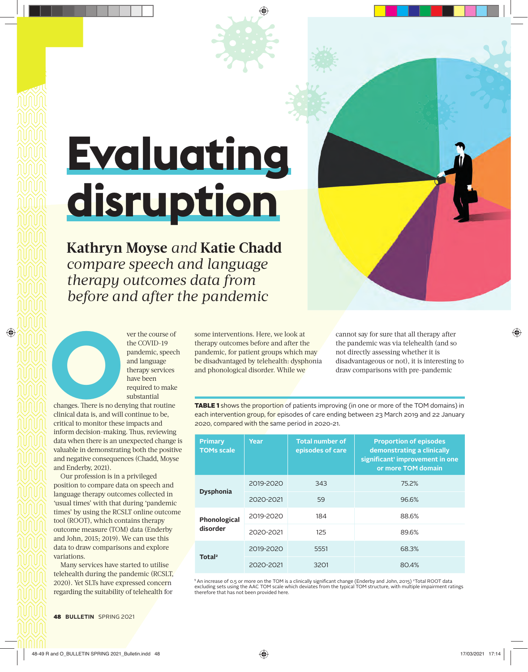## **Evaluating disruption**

**Kathryn Moyse** *and* **Katie Chadd** *compare speech and language therapy outcomes data from before and after the pandemic*

Figure 1 ver the course of<br>the COVID-19<br>pandemic, speecl<br>and language<br>therapy services<br>have been<br>required to make<br>substantial<br>changes. There is no denying that routine<br>clinical data is, and will continue to be,

the COVID-19 pandemic, speech and language therapy services have been required to make substantial

changes. There is no denying that routine clinical data is, and will continue to be, critical to monitor these impacts and inform decision-making. Thus, reviewing data when there is an unexpected change is valuable in demonstrating both the positive and negative consequences (Chadd, Moyse and Enderby, 2021).

Our profession is in a privileged position to compare data on speech and language therapy outcomes collected in 'usual times' with that during 'pandemic times' by using the RCSLT online outcome tool (ROOT), which contains therapy outcome measure (TOM) data (Enderby and John, 2015; 2019). We can use this data to draw comparisons and explore variations.

Many services have started to utilise telehealth during the pandemic (RCSLT, 2020). Yet SLTs have expressed concern regarding the suitability of telehealth for

some interventions. Here, we look at therapy outcomes before and after the pandemic, for patient groups which may be disadvantaged by telehealth: dysphonia and phonological disorder. While we

cannot say for sure that all therapy after the pandemic was via telehealth (and so not directly assessing whether it is disadvantageous or not), it is interesting to draw comparisons with pre-pandemic

TABLE 1 shows the proportion of patients improving (in one or more of the TOM domains) in each intervention group, for episodes of care ending between 23 March 2019 and 22 January 2020, compared with the same period in 2020-21.

| <b>Primary</b><br><b>TOMs scale</b> | Year      | <b>Total number of</b><br>episodes of care | <b>Proportion of episodes</b><br>demonstrating a clinically<br>significant <sup>1</sup> improvement in one<br>or more TOM domain |  |
|-------------------------------------|-----------|--------------------------------------------|----------------------------------------------------------------------------------------------------------------------------------|--|
| <b>Dysphonia</b>                    | 2019-2020 | 343                                        | 75.2%                                                                                                                            |  |
|                                     | 2020-2021 | 59                                         | 96.6%                                                                                                                            |  |
| Phonological<br>disorder            | 2019-2020 | 184                                        | 88.6%                                                                                                                            |  |
|                                     | 2020-2021 | 125                                        | 89.6%                                                                                                                            |  |
| Total <sup>2</sup>                  | 2019-2020 | 5551                                       | 68.3%                                                                                                                            |  |
|                                     | 2020-2021 | 3201                                       | 80.4%                                                                                                                            |  |

' An increase of 0.5 or more on the TOM is a clinically significant change (Enderby and John, 2015) °Total ROOT data<br>excluding sets using the AAC TOM scale which deviates from the typical TOM structure, with multiple impai therefore that has not been provided here.